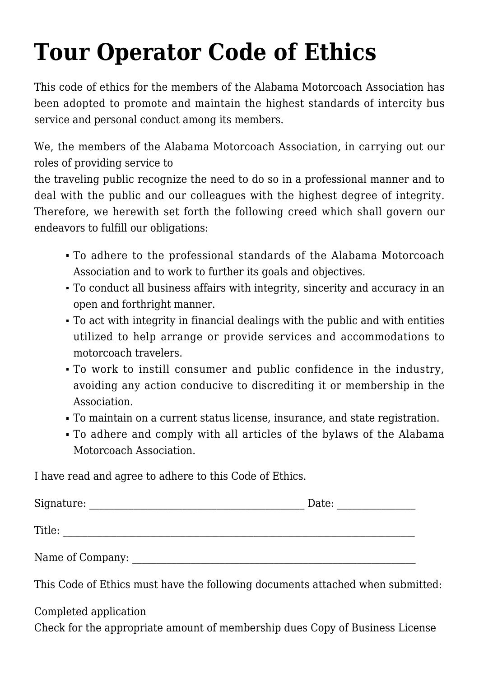## **[Tour Operator Code of Ethics](http://www.alabamamotorcoach.org/tour-operator-code-of-ethics/)**

This code of ethics for the members of the Alabama Motorcoach Association has been adopted to promote and maintain the highest standards of intercity bus service and personal conduct among its members.

We, the members of the Alabama Motorcoach Association, in carrying out our roles of providing service to

the traveling public recognize the need to do so in a professional manner and to deal with the public and our colleagues with the highest degree of integrity. Therefore, we herewith set forth the following creed which shall govern our endeavors to fulfill our obligations:

- To adhere to the professional standards of the Alabama Motorcoach Association and to work to further its goals and objectives.
- To conduct all business affairs with integrity, sincerity and accuracy in an open and forthright manner.
- To act with integrity in financial dealings with the public and with entities utilized to help arrange or provide services and accommodations to motorcoach travelers.
- To work to instill consumer and public confidence in the industry, avoiding any action conducive to discrediting it or membership in the Association.
- To maintain on a current status license, insurance, and state registration.
- To adhere and comply with all articles of the bylaws of the Alabama Motorcoach Association.

I have read and agree to adhere to this Code of Ethics.

| Signature:       | Date: |
|------------------|-------|
| Title:           |       |
| Name of Company: |       |

This Code of Ethics must have the following documents attached when submitted:

Completed application Check for the appropriate amount of membership dues Copy of Business License